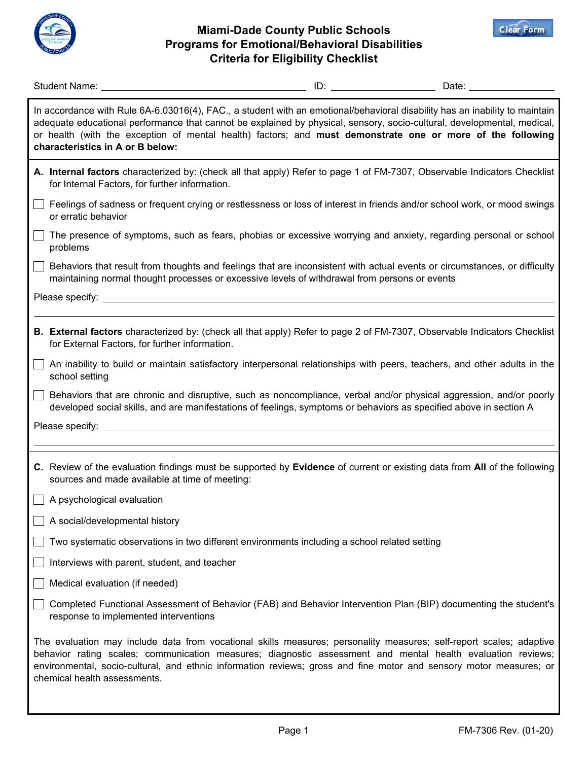

## **Miami-Dade County Public Schools Programs for Emotional/Behavioral Disabilities Criteria for Eligibility Checklist**



| Student Name: University of the Student Name:                                                                                                                                                                                                                                                                                                                                                            | Date: ___________________ |
|----------------------------------------------------------------------------------------------------------------------------------------------------------------------------------------------------------------------------------------------------------------------------------------------------------------------------------------------------------------------------------------------------------|---------------------------|
| In accordance with Rule 6A-6.03016(4), FAC., a student with an emotional/behavioral disability has an inability to maintain<br>adequate educational performance that cannot be explained by physical, sensory, socio-cultural, developmental, medical,<br>or health (with the exception of mental health) factors; and must demonstrate one or more of the following<br>characteristics in A or B below: |                           |
| A. Internal factors characterized by: (check all that apply) Refer to page 1 of FM-7307, Observable Indicators Checklist<br>for Internal Factors, for further information.                                                                                                                                                                                                                               |                           |
| Feelings of sadness or frequent crying or restlessness or loss of interest in friends and/or school work, or mood swings<br>or erratic behavior                                                                                                                                                                                                                                                          |                           |
| The presence of symptoms, such as fears, phobias or excessive worrying and anxiety, regarding personal or school<br>problems                                                                                                                                                                                                                                                                             |                           |
| Behaviors that result from thoughts and feelings that are inconsistent with actual events or circumstances, or difficulty<br>maintaining normal thought processes or excessive levels of withdrawal from persons or events                                                                                                                                                                               |                           |
|                                                                                                                                                                                                                                                                                                                                                                                                          |                           |
| B. External factors characterized by: (check all that apply) Refer to page 2 of FM-7307, Observable Indicators Checklist<br>for External Factors, for further information.                                                                                                                                                                                                                               |                           |
| An inability to build or maintain satisfactory interpersonal relationships with peers, teachers, and other adults in the<br>school setting                                                                                                                                                                                                                                                               |                           |
| Behaviors that are chronic and disruptive, such as noncompliance, verbal and/or physical aggression, and/or poorly<br>developed social skills, and are manifestations of feelings, symptoms or behaviors as specified above in section A                                                                                                                                                                 |                           |
| Please specify: _________                                                                                                                                                                                                                                                                                                                                                                                |                           |
|                                                                                                                                                                                                                                                                                                                                                                                                          |                           |
| C. Review of the evaluation findings must be supported by Evidence of current or existing data from All of the following<br>sources and made available at time of meeting:                                                                                                                                                                                                                               |                           |
| $\Box$ A psychological evaluation                                                                                                                                                                                                                                                                                                                                                                        |                           |
| A social/developmental history                                                                                                                                                                                                                                                                                                                                                                           |                           |
| Two systematic observations in two different environments including a school related setting                                                                                                                                                                                                                                                                                                             |                           |
| Interviews with parent, student, and teacher                                                                                                                                                                                                                                                                                                                                                             |                           |
| Medical evaluation (if needed)                                                                                                                                                                                                                                                                                                                                                                           |                           |
| Completed Functional Assessment of Behavior (FAB) and Behavior Intervention Plan (BIP) documenting the student's<br>response to implemented interventions                                                                                                                                                                                                                                                |                           |
| The evaluation may include data from vocational skills measures; personality measures; self-report scales; adaptive<br>behavior rating scales; communication measures; diagnostic assessment and mental health evaluation reviews;<br>environmental, socio-cultural, and ethnic information reviews; gross and fine motor and sensory motor measures; or<br>chemical health assessments.                 |                           |